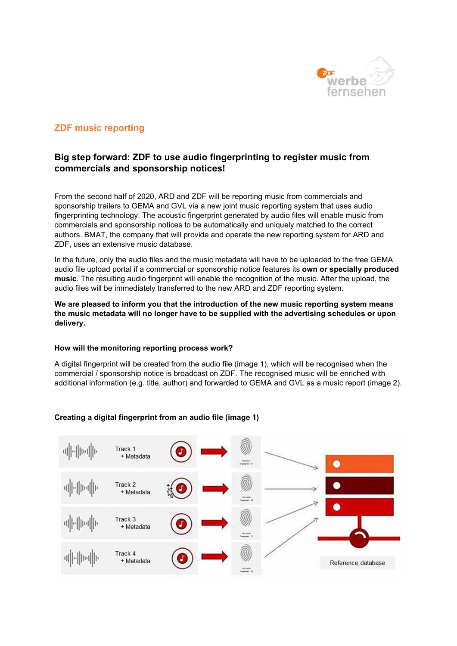

# ZDF music reporting

# Big step forward: ZDF to use audio fingerprinting to register music from commercials and sponsorship notices!

From the second half of 2020, ARD and ZDF will be reporting music from commercials and sponsorship trailers to GEMA and GVL via a new joint music reporting system that uses audio fingerprinting technology. The acoustic fingerprint generated by audio files will enable music from commercials and sponsorship notices to be automatically and uniquely matched to the correct authors. BMAT, the company that will provide and operate the new reporting system for ARD and ZDF, uses an extensive music database.

In the future, only the audio files and the music metadata will have to be uploaded to the free GEMA audio file upload portal if a commercial or sponsorship notice features its own or specially produced music. The resulting audio fingerprint will enable the recognition of the music. After the upload, the audio files will be immediately transferred to the new ARD and ZDF reporting system.

## We are pleased to inform you that the introduction of the new music reporting system means the music metadata will no longer have to be supplied with the advertising schedules or upon delivery.

## How will the monitoring reporting process work?

A digital fingerprint will be created from the audio file (image 1), which will be recognised when the commercial / sponsorship notice is broadcast on ZDF. The recognised music will be enriched with additional information (e.g. title, author) and forwarded to GEMA and GVL as a music report (image 2).

# Creating a digital fingerprint from an audio file (image 1)